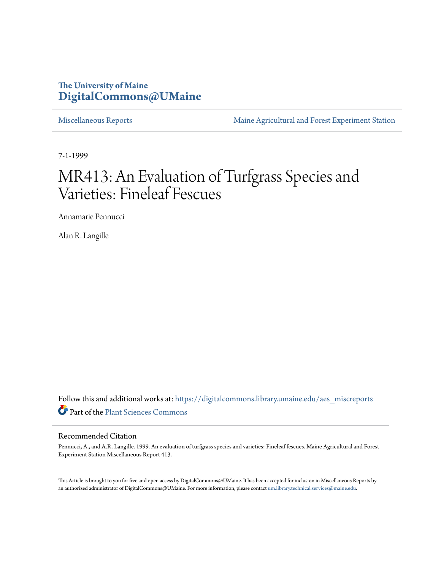# **The University of Maine [DigitalCommons@UMaine](https://digitalcommons.library.umaine.edu?utm_source=digitalcommons.library.umaine.edu%2Faes_miscreports%2F4&utm_medium=PDF&utm_campaign=PDFCoverPages)**

[Miscellaneous Reports](https://digitalcommons.library.umaine.edu/aes_miscreports?utm_source=digitalcommons.library.umaine.edu%2Faes_miscreports%2F4&utm_medium=PDF&utm_campaign=PDFCoverPages) **[Maine Agricultural and Forest Experiment Station](https://digitalcommons.library.umaine.edu/maineaes?utm_source=digitalcommons.library.umaine.edu%2Faes_miscreports%2F4&utm_medium=PDF&utm_campaign=PDFCoverPages)** 

7-1-1999

# MR413: An Evaluation of Turfgrass Species and Varieties: Fineleaf Fescues

Annamarie Pennucci

Alan R. Langille

Follow this and additional works at: [https://digitalcommons.library.umaine.edu/aes\\_miscreports](https://digitalcommons.library.umaine.edu/aes_miscreports?utm_source=digitalcommons.library.umaine.edu%2Faes_miscreports%2F4&utm_medium=PDF&utm_campaign=PDFCoverPages) Part of the [Plant Sciences Commons](http://network.bepress.com/hgg/discipline/102?utm_source=digitalcommons.library.umaine.edu%2Faes_miscreports%2F4&utm_medium=PDF&utm_campaign=PDFCoverPages)

### Recommended Citation

Pennucci, A., and A.R. Langille. 1999. An evaluation of turfgrass species and varieties: Fineleaf fescues. Maine Agricultural and Forest Experiment Station Miscellaneous Report 413.

This Article is brought to you for free and open access by DigitalCommons@UMaine. It has been accepted for inclusion in Miscellaneous Reports by an authorized administrator of DigitalCommons@UMaine. For more information, please contact [um.library.technical.services@maine.edu](mailto:um.library.technical.services@maine.edu).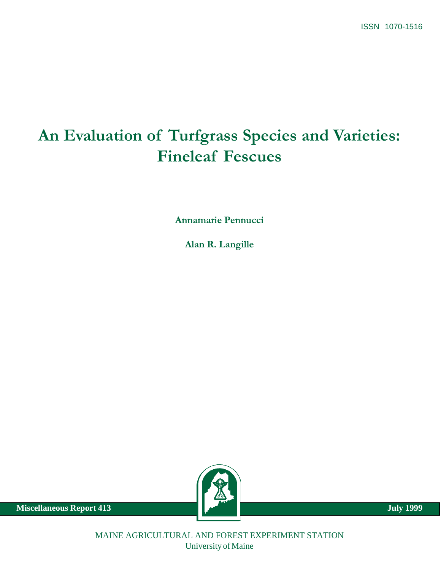# An Evaluation of Turfgrass Species and Varieties: Fineleaf Fescues

Annamarie Pennucci

Alan R. Langille



**Miscellaneous Report 413** July 1999

MAINE AGRICULTURAL AND FOREST EXPERIMENT STATION University of Maine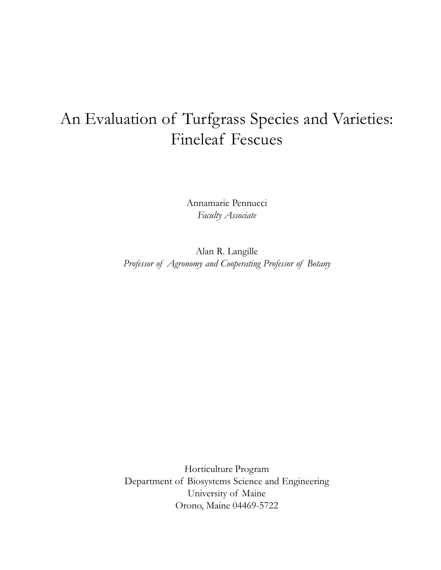# An Evaluation of Turfgrass Species and Varieties: Fineleaf Fescues

Annamarie Pennucci Faculty Associate

Alan R. Langille Professor of Agronomy and Cooperating Professor of Botany

Horticulture Program Department of Biosystems Science and Engineering University of Maine Orono, Maine 04469-5722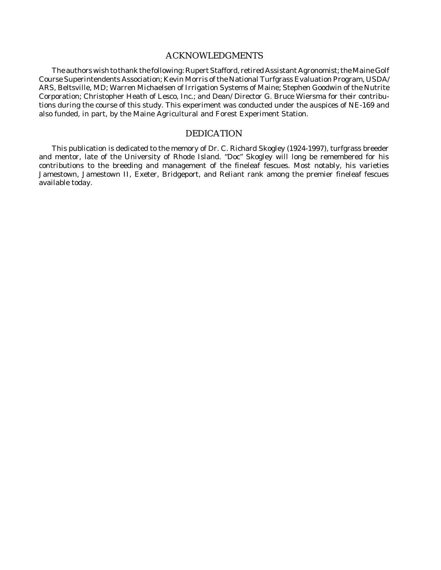## ACKNOWLEDGMENTS

The authors wish to thank the following: Rupert Stafford, retired Assistant Agronomist; the Maine Golf Course Superintendents Association; Kevin Morris of the National Turfgrass Evaluation Program, USDA/ ARS, Beltsville, MD; Warren Michaelsen of Irrigation Systems of Maine; Stephen Goodwin of the Nutrite Corporation; Christopher Heath of Lesco, Inc.; and Dean/ Director G. Bruce Wiersma for their contributions during the course of this study. This experiment was conducted under the auspices of NE-169 and also funded, in part, by the Maine Agricultural and Forest Experiment Station.

#### DEDICATION

This publication is dedicated to the memory of Dr. C. Richard Skogley (1924-1997), turfgrass breeder and mentor, late of the University of Rhode Island. "Doc" Skogley will long be remembered for his contributions to the breeding and management of the fineleaf fescues. Most notably, his varieties Jamestown, Jamestown II, Exeter, Bridgeport, and Reliant rank among the premier fineleaf fescues available today.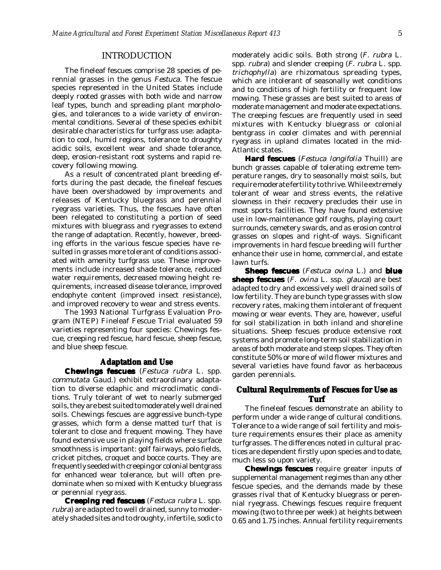#### INTRODUCTION

The fineleaf fescues comprise 28 species of perennial grasses in the genus *Festuca.* The fescue species represented in the United States include deeply rooted grasses with both wide and narrow leaf types, bunch and spreading plant morphologies, and tolerances to a wide variety of environmental conditions. Several of these species exhibit desirable characteristics for turfgrass use: adaptation to cool, humid regions, tolerance to droughty acidic soils, excellent wear and shade tolerance, deep, erosion-resistant root systems and rapid recovery following mowing.

As a result of concentrated plant breeding efforts during the past decade, the fineleaf fescues have been overshadowed by improvements and releases of Kentucky bluegrass and perennial ryegrass varieties. Thus, the fescues have often been relegated to constituting a portion of seed mixtures with bluegrass and ryegrasses to extend the range of adaptation. Recently, however, breeding efforts in the various fescue species have resulted in grasses more tolerant of conditions associated with amenity turfgrass use. These improvements include increased shade tolerance, reduced water requirements, decreased mowing height requirements, increased disease tolerance, improved endophyte content (improved insect resistance), and improved recovery to wear and stress events.

The 1993 National Turfgrass Evaluation Program (NTEP) Fineleaf Fescue Trial evaluated 59 varieties representing four species: Chewings fescue, creeping red fescue, hard fescue, sheep fescue, and blue sheep fescue.

#### **Adaptation and Use**

**Chewings fescues** (*Festuca rubra* L. spp. *commutata* Gaud.) exhibit extraordinary adaptation to diverse edaphic and microclimatic conditions. Truly tolerant of wet to nearly submerged soils, they are best suited to moderately well drained soils. Chewings fescues are aggressive bunch-type grasses, which form a dense matted turf that is tolerant to close and frequent mowing. They have found extensive use in playing fields where surface smoothness is important: golf fairways, polo fields, cricket pitches, croquet and bocce courts. They are frequently seeded with creeping or colonial bentgrass for enhanced wear tolerance, but will often predominate when so mixed with Kentucky bluegrass or perennial ryegrass.

**Creeping red fescues** (*Festuca rubra* L. spp. *rubra*) are adapted to well drained, sunny to moderately shaded sites and to droughty, infertile, sodic to moderately acidic soils. Both strong (*F. rubra* L. spp. *rubra*) and slender creeping (*F. rubra* L. spp. *trichophylla*) are rhizomatous spreading types, which are intolerant of seasonally wet conditions and to conditions of high fertility or frequent low mowing. These grasses are best suited to areas of moderate management and moderate expectations. The creeping fescues are frequently used in seed mixtures with Kentucky bluegrass or colonial bentgrass in cooler climates and with perennial ryegrass in upland climates located in the mid-Atlantic states.

**Hard fescues** (*Festuca longifolia* Thuill) are bunch grasses capable of tolerating extreme temperature ranges, dry to seasonally moist soils, but require moderate fertility to thrive. While extremely tolerant of wear and stress events, the relative slowness in their recovery precludes their use in most sports facilities. They have found extensive use in low-maintenance golf roughs, playing court surrounds, cemetery swards, and as erosion control grasses on slopes and right-of ways. Significant improvements in hard fescue breeding will further enhance their use in home, commercial, and estate lawn turfs.

**Sheep fescues** (*Festuca ovina* L.) and **blue sheep fescues** (*F. ovina* L. ssp. *glauca*) are best adapted to dry and excessively well drained soils of low fertility. They are bunch type grasses with slow recovery rates, making them intolerant of frequent mowing or wear events. They are, however, useful for soil stabilization in both inland and shoreline situations. Sheep fescues produce extensive root systems and promote long-term soil stabilization in areas of both moderate and steep slopes. They often constitute 50% or more of wild flower mixtures and several varieties have found favor as herbaceous garden perennials.

### **Cultural Requirements of Fescues for Use as Turf**

The fineleaf fescues demonstrate an ability to perform under a wide range of cultural conditions. Tolerance to a wide range of soil fertility and moisture requirements ensures their place as amenity turfgrasses. The differences noted in cultural practices are dependent firstly upon species and to date, much less so upon variety.

**Chewings fescues** require greater inputs of supplemental management regimes than any other fescue species, and the demands made by these grasses rival that of Kentucky bluegrass or perennial ryegrass. Chewings fescues require frequent mowing (two to three per week) at heights between 0.65 and 1.75 inches. Annual fertility requirements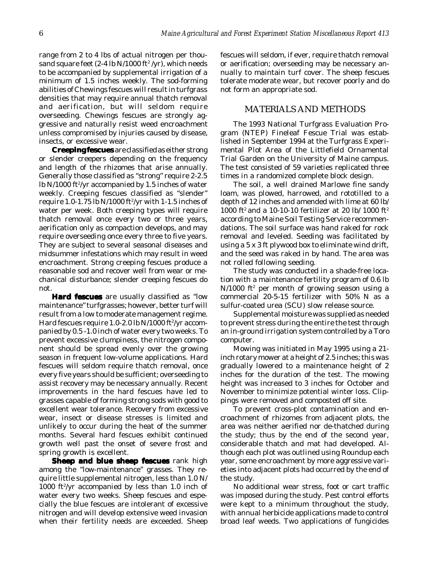range from 2 to 4 lbs of actual nitrogen per thousand square feet (2-4 lb N/1000 ft²/yr), which needs to be accompanied by supplemental irrigation of a minimum of 1.5 inches weekly. The sod-forming abilities of Chewings fescues will result in turfgrass densities that may require annual thatch removal and aerification, but will seldom require overseeding. Chewings fescues are strongly aggressive and naturally resist weed encroachment unless compromised by injuries caused by disease, insects, or excessive wear.

**Creeping fescues** are classified as either strong or slender creepers depending on the frequency and length of the rhizomes that arise annually. Generally those classified as "strong" require 2-2.5 lb N/1000 ft $^{\rm 2}$ /yr accompanied by 1.5 inches of water weekly. Creeping fescues classified as "slender" require 1.0-1.75 lb N/1000 ft2 /yr with 1-1.5 inches of water per week. Both creeping types will require thatch removal once every two or three years, aerification only as compaction develops, and may require overseeding once every three to five years. They are subject to several seasonal diseases and midsummer infestations which may result in weed encroachment. Strong creeping fescues produce a reasonable sod and recover well from wear or mechanical disturbance; slender creeping fescues do not.

**Hard fescues** are usually classified as "low maintenance" turfgrasses; however, better turf will result from a low to moderate management regime. Hard fescues require 1.0-2.0 lb N/1000 ft²/yr accompanied by 0.5 -1.0 inch of water every two weeks. To prevent excessive clumpiness, the nitrogen component should be spread evenly over the growing season in frequent low-volume applications. Hard fescues will seldom require thatch removal, once every five years should be sufficient; overseeding to assist recovery may be necessary annually. Recent improvements in the hard fescues have led to grasses capable of forming strong sods with good to excellent wear tolerance. Recovery from excessive wear, insect or disease stresses is limited and unlikely to occur during the heat of the summer months. Several hard fescues exhibit continued growth well past the onset of severe frost and spring growth is excellent.

**Sheep and blue sheep fescues** rank high among the "low-maintenance" grasses. They require little supplemental nitrogen, less than 1.0 N/ 1000 ft<sup>2</sup>/yr accompanied by less than 1.0 inch of water every two weeks. Sheep fescues and especially the blue fescues are intolerant of excessive nitrogen and will develop extensive weed invasion when their fertility needs are exceeded. Sheep fescues will seldom, if ever, require thatch removal or aerification; overseeding may be necessary annually to maintain turf cover. The sheep fescues tolerate moderate wear, but recover poorly and do not form an appropriate sod.

### MATERIALS AND METHODS

The 1993 National Turfgrass Evaluation Program (NTEP) Fineleaf Fescue Trial was established in September 1994 at the Turfgrass Experimental Plot Area of the Littlefield Ornamental Trial Garden on the University of Maine campus. The test consisted of 59 varieties replicated three times in a randomized complete block design.

The soil, a well drained Marlowe fine sandy loam, was plowed, harrowed, and rototilled to a depth of 12 inches and amended with lime at 60 lb/ 1000 ft<sup>2</sup> and a 10-10-10 fertilizer at 20 lb/ 1000 ft<sup>2</sup> according to Maine Soil Testing Service recommendations. The soil surface was hand raked for rock removal and leveled. Seeding was facilitated by using a 5 x 3 ft plywood box to eliminate wind drift, and the seed was raked in by hand. The area was not rolled following seeding.

The study was conducted in a shade-free location with a maintenance fertility program of 0.6 lb  $\mathrm{N}/1000$  ft $^2$  per month of growing season using a commercial 20-5-15 fertilizer with 50% N as a sulfur-coated urea (SCU) slow release source.

Supplemental moisture was supplied as needed to prevent stress during the entire the test through an in-ground irrigation system controlled by a Toro computer.

Mowing was initiated in May 1995 using a 21 inch rotary mower at a height of 2.5 inches; this was gradually lowered to a maintenance height of 2 inches for the duration of the test. The mowing height was increased to 3 inches for October and November to minimize potential winter loss. Clippings were removed and composted off site.

To prevent cross-plot contamination and encroachment of rhizomes from adjacent plots, the area was neither aerified nor de-thatched during the study; thus by the end of the second year, considerable thatch and mat had developed. Although each plot was outlined using Roundup each year, some encroachment by more aggressive varieties into adjacent plots had occurred by the end of the study.

No additional wear stress, foot or cart traffic was imposed during the study. Pest control efforts were kept to a minimum throughout the study, with annual herbicide applications made to control broad leaf weeds. Two applications of fungicides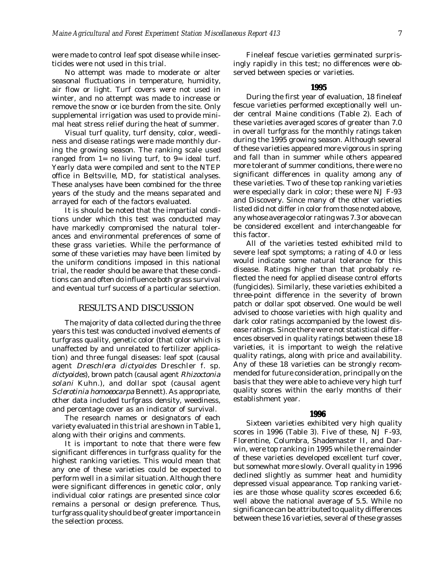were made to control leaf spot disease while insecticides were not used in this trial.

No attempt was made to moderate or alter seasonal fluctuations in temperature, humidity, air flow or light. Turf covers were not used in winter, and no attempt was made to increase or remove the snow or ice burden from the site. Only supplemental irrigation was used to provide minimal heat stress relief during the heat of summer.

Visual turf quality, turf density, color, weediness and disease ratings were made monthly during the growing season. The ranking scale used ranged from  $1=$  no living turf, to  $9=$  ideal turf. Yearly data were compiled and sent to the NTEP office in Beltsville, MD, for statistical analyses. These analyses have been combined for the three years of the study and the means separated and arrayed for each of the factors evaluated.

It is should be noted that the impartial conditions under which this test was conducted may have markedly compromised the natural tolerances and environmental preferences of some of these grass varieties. While the performance of some of these varieties may have been limited by the uniform conditions imposed in this national trial, the reader should be aware that these conditions can and often do influence both grass survival and eventual turf success of a particular selection.

#### RESULTS AND DISCUSSION

The majority of data collected during the three years this test was conducted involved elements of turfgrass quality, genetic color (that color which is unaffected by and unrelated to fertilizer application) and three fungal diseases: leaf spot (causal agent *Dreschlera dictyoides* Dreschler f. sp. *dictyoides*), brown patch (causal agent *Rhizoctonia solani* Kuhn.), and dollar spot (causal agent *Sclerotinia homoeocarpa* Bennett). As appropriate, other data included turfgrass density, weediness, and percentage cover as an indicator of survival.

The research names or designators of each variety evaluated in this trial are shown in Table 1, along with their origins and comments.

It is important to note that there were few significant differences in turfgrass quality for the highest ranking varieties. This would mean that any one of these varieties could be expected to perform well in a similar situation. Although there were significant differences in genetic color, only individual color ratings are presented since color remains a personal or design preference. Thus, turfgrass quality should be of greater importance in the selection process.

Fineleaf fescue varieties germinated surprisingly rapidly in this test; no differences were observed between species or varieties.

#### **1995**

During the first year of evaluation, 18 fineleaf fescue varieties performed exceptionally well under central Maine conditions (Table 2). Each of these varieties averaged scores of greater than 7.0 in overall turfgrass for the monthly ratings taken during the 1995 growing season. Although several of these varieties appeared more vigorous in spring and fall than in summer while others appeared more tolerant of summer conditions, there were no significant differences in quality among any of these varieties. Two of these top ranking varieties were especially dark in color; these were NJ F-93 and Discovery. Since many of the other varieties listed did not differ in color from those noted above, any whose average color rating was 7.3 or above can be considered excellent and interchangeable for this factor.

All of the varieties tested exhibited mild to severe leaf spot symptoms; a rating of 4.0 or less would indicate some natural tolerance for this disease. Ratings higher than that probably reflected the need for applied disease control efforts (fungicides). Similarly, these varieties exhibited a three-point difference in the severity of brown patch or dollar spot observed. One would be well advised to choose varieties with high quality and dark color ratings accompanied by the lowest disease ratings. Since there were not statistical differences observed in quality ratings between these 18 varieties, it is important to weigh the relative quality ratings, along with price and availability. Any of these 18 varieties can be strongly recommended for future consideration, principally on the basis that they were able to achieve very high turf quality scores within the early months of their establishment year.

#### **1996**

Sixteen varieties exhibited very high quality scores in 1996 (Table 3). Five of these, NJ F-93, Florentine, Columbra, Shademaster II, and Darwin, were top ranking in 1995 while the remainder of these varieties developed excellent turf cover, but somewhat more slowly. Overall quality in 1996 declined slightly as summer heat and humidity depressed visual appearance. Top ranking varieties are those whose quality scores exceeded 6.6; well above the national average of 5.5. While no significance can be attributed to quality differences between these 16 varieties, several of these grasses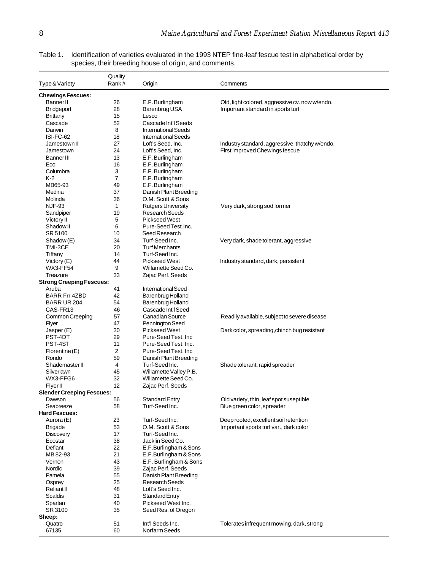|                                             | Quality  |                                             |                                                |
|---------------------------------------------|----------|---------------------------------------------|------------------------------------------------|
| Type & Variety                              | Rank#    | Origin                                      | Comments                                       |
| <b>Chewings Fescues:</b>                    |          |                                             |                                                |
| <b>Banner</b> II                            | 26       | E.F. Burlingham                             | Old, light colored, aggressive cv. now w/endo. |
| <b>Bridgeport</b>                           | 28       | Barenbrug USA                               | Important standard in sports turf              |
| Brittany                                    | 15       | Lesco                                       |                                                |
| Cascade                                     | 52       | Cascade Int'l Seeds                         |                                                |
| Darwin                                      | 8        | <b>International Seeds</b>                  |                                                |
| ISI-FC-62                                   | 18       | <b>International Seeds</b>                  |                                                |
| Jamestown II                                | 27       | Loft's Seed, Inc.                           | Industry standard, aggressive, thatchy w/endo. |
| Jamestown                                   | 24       | Loft's Seed, Inc.                           | First improved Chewings fescue                 |
| <b>Banner III</b>                           | 13       | E.F. Burlingham                             |                                                |
| Eco                                         | 16       | E.F. Burlingham                             |                                                |
| Columbra                                    | 3        | E.F. Burlingham                             |                                                |
| $K-2$                                       | 7        | E.F. Burlingham                             |                                                |
| MB65-93                                     | 49       | E.F. Burlingham                             |                                                |
| Medina                                      | 37       | Danish Plant Breeding                       |                                                |
| Molinda                                     | 36       | O.M. Scott & Sons                           |                                                |
| <b>NJF-93</b>                               | 1        | <b>Rutgers University</b>                   | Very dark, strong sod former                   |
| Sandpiper                                   | 19       | <b>Research Seeds</b>                       |                                                |
| Victory II                                  | 5        | <b>Pickseed West</b>                        |                                                |
| Shadow II                                   | 6        | Pure-Seed Test.Inc.                         |                                                |
| SR 5100                                     | 10       | Seed Research                               |                                                |
|                                             |          | Turf-Seed Inc.                              |                                                |
| Shadow (E)                                  | 34<br>20 | <b>Turf Merchants</b>                       | Very dark, shade tolerant, aggressive          |
| TMI-3CE                                     |          | Turf-Seed Inc.                              |                                                |
| Tiffany                                     | 14       |                                             |                                                |
| Victory $(E)$<br><b>WX3-FF54</b>            | 44       | <b>Pickseed West</b><br>Willamette Seed Co. | Industry standard, dark, persistent            |
|                                             | 9<br>33  | Zajac Perf. Seeds                           |                                                |
| Treazure<br><b>Strong Creeping Fescues:</b> |          |                                             |                                                |
|                                             |          |                                             |                                                |
| Aruba                                       | 41       | <b>International Seed</b>                   |                                                |
| <b>BARR Frr 4ZBD</b><br>BARR UR 204         | 42<br>54 | Barenbrug Holland<br>Barenbrug Holland      |                                                |
| CAS-FR <sub>13</sub>                        |          | Cascade Int'l Seed                          |                                                |
|                                             | 46<br>57 | Canadian Source                             |                                                |
| Common Creeping                             |          |                                             | Readily available, subject to severe disease   |
| Flyer                                       | 47<br>30 | Pennington Seed<br><b>Pickseed West</b>     |                                                |
| Jasper (E)<br>PST-4DT                       | 29       | Pure-Seed Test, Inc.                        | Dark color, spreading, chinch bug resistant    |
| PST-4ST                                     | 11       | Pure-Seed Test, Inc.                        |                                                |
| Florentine (E)                              | 2        | Pure-Seed Test. Inc                         |                                                |
|                                             | 59       | Danish Plant Breeding                       |                                                |
| Rondo<br>Shademaster II                     | 4        | Turf-Seed Inc.                              |                                                |
| Silverlawn                                  | 45       | Willamette Valley P.B.                      | Shade tolerant, rapid spreader                 |
| WX3-FFG6                                    | 32       | Willamette Seed Co.                         |                                                |
| <b>Flyer II</b>                             | 12       | Zajac Perf. Seeds                           |                                                |
| <b>Slender Creeping Fescues:</b>            |          |                                             |                                                |
| Dawson                                      | 56       | <b>Standard Entry</b>                       | Old variety, thin, leaf spot suseptible        |
| Seabreeze                                   | 58       | Turf-Seed Inc.                              | Blue green color, spreader                     |
| <b>Hard Fescues:</b>                        |          |                                             |                                                |
| Aurora (E)                                  | 23       | Turf-Seed Inc.                              | Deep rooted, excellent soil retention          |
| <b>Brigade</b>                              | 53       | O.M. Scott & Sons                           | Important sports turf var., dark color         |
| <b>Discovery</b>                            | 17       | Turf-Seed Inc.                              |                                                |
| Ecostar                                     | 38       | Jacklin Seed Co.                            |                                                |
| Defiant                                     | 22       | E.F.Burlingham & Sons                       |                                                |
| MB 82-93                                    | 21       | E.F.Burlingham & Sons                       |                                                |
| Vernon                                      | 43       | E.F. Burlingham & Sons                      |                                                |
| Nordic                                      | 39       | Zajac Perf. Seeds                           |                                                |
| Pamela                                      | 55       | Danish Plant Breeding                       |                                                |
|                                             | 25       | <b>Research Seeds</b>                       |                                                |
| Osprey<br><b>ReliantII</b>                  | 48       | Loft's Seed Inc.                            |                                                |
| <b>Scaldis</b>                              | 31       |                                             |                                                |
| Spartan                                     | 40       | Standard Entry<br>Pickseed West Inc.        |                                                |
| SR 3100                                     | 35       | Seed Res. of Oregon                         |                                                |
|                                             |          |                                             |                                                |
| Sheep:<br>Quatro                            | 51       | Int'l Seeds Inc.                            | Tolerates infrequent mowing, dark, strong      |
| 67135                                       | 60       | Norfarm Seeds                               |                                                |
|                                             |          |                                             |                                                |

Table 1. Identification of varieties evaluated in the 1993 NTEP fine-leaf fescue test in alphabetical order by species, their breeding house of origin, and comments.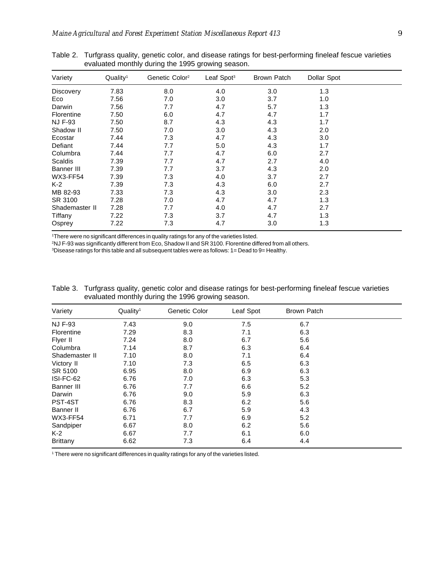| Variety          | Quality <sup>1</sup> | Genetic Color <sup>2</sup> | Leaf Spot <sup>3</sup> | Brown Patch | Dollar Spot |  |
|------------------|----------------------|----------------------------|------------------------|-------------|-------------|--|
| <b>Discovery</b> | 7.83                 | 8.0                        | 4.0                    | 3.0         | 1.3         |  |
| Eco              | 7.56                 | 7.0                        | 3.0                    | 3.7         | 1.0         |  |
| Darwin           | 7.56                 | 7.7                        | 4.7                    | 5.7         | 1.3         |  |
| Florentine       | 7.50                 | 6.0                        | 4.7                    | 4.7         | 1.7         |  |
| <b>NJ F-93</b>   | 7.50                 | 8.7                        | 4.3                    | 4.3         | 1.7         |  |
| Shadow II        | 7.50                 | 7.0                        | 3.0                    | 4.3         | 2.0         |  |
| Ecostar          | 7.44                 | 7.3                        | 4.7                    | 4.3         | 3.0         |  |
| Defiant          | 7.44                 | 7.7                        | 5.0                    | 4.3         | 1.7         |  |
| Columbra         | 7.44                 | 7.7                        | 4.7                    | 6.0         | 2.7         |  |
| Scaldis          | 7.39                 | 7.7                        | 4.7                    | 2.7         | 4.0         |  |
| Banner III       | 7.39                 | 7.7                        | 3.7                    | 4.3         | 2.0         |  |
| WX3-FF54         | 7.39                 | 7.3                        | 4.0                    | 3.7         | 2.7         |  |
| $K-2$            | 7.39                 | 7.3                        | 4.3                    | 6.0         | 2.7         |  |
| MB 82-93         | 7.33                 | 7.3                        | 4.3                    | 3.0         | 2.3         |  |
| SR 3100          | 7.28                 | 7.0                        | 4.7                    | 4.7         | 1.3         |  |
| Shademaster II   | 7.28                 | 7.7                        | 4.0                    | 4.7         | 2.7         |  |
| Tiffany          | 7.22                 | 7.3                        | 3.7                    | 4.7         | 1.3         |  |
| Osprey           | 7.22                 | 7.3                        | 4.7                    | 3.0         | 1.3         |  |

Table 2. Turfgrass quality, genetic color, and disease ratings for best-performing fineleaf fescue varieties evaluated monthly during the 1995 growing season.

1There were no significant differences in quality ratings for any of the varieties listed.

2NJ F-93 was significantly different from Eco, Shadow II and SR 3100. Florentine differed from all others.

 $3$ Disease ratings for this table and all subsequent tables were as follows:  $1 =$  Dead to 9= Healthy.

Table 3. Turfgrass quality, genetic color and disease ratings for best-performing fineleaf fescue varieties evaluated monthly during the 1996 growing season.

| Variety         | Quality <sup>1</sup> | Genetic Color | Leaf Spot | <b>Brown Patch</b> |  |
|-----------------|----------------------|---------------|-----------|--------------------|--|
| <b>NJ F-93</b>  | 7.43                 | 9.0           | 7.5       | 6.7                |  |
| Florentine      | 7.29                 | 8.3           | 7.1       | 6.3                |  |
| Flyer II        | 7.24                 | 8.0           | 6.7       | 5.6                |  |
| Columbra        | 7.14                 | 8.7           | 6.3       | 6.4                |  |
| Shademaster II  | 7.10                 | 8.0           | 7.1       | 6.4                |  |
| Victory II      | 7.10                 | 7.3           | 6.5       | 6.3                |  |
| SR 5100         | 6.95                 | 8.0           | 6.9       | 6.3                |  |
| ISI-FC-62       | 6.76                 | 7.0           | 6.3       | 5.3                |  |
| Banner III      | 6.76                 | 7.7           | 6.6       | 5.2                |  |
| Darwin          | 6.76                 | 9.0           | 5.9       | 6.3                |  |
| PST-4ST         | 6.76                 | 8.3           | 6.2       | 5.6                |  |
| Banner II       | 6.76                 | 6.7           | 5.9       | 4.3                |  |
| <b>WX3-FF54</b> | 6.71                 | 7.7           | 6.9       | 5.2                |  |
| Sandpiper       | 6.67                 | 8.0           | 6.2       | 5.6                |  |
| $K-2$           | 6.67                 | 7.7           | 6.1       | 6.0                |  |
| <b>Brittany</b> | 6.62                 | 7.3           | 6.4       | 4.4                |  |

1 There were no significant differences in quality ratings for any of the varieties listed.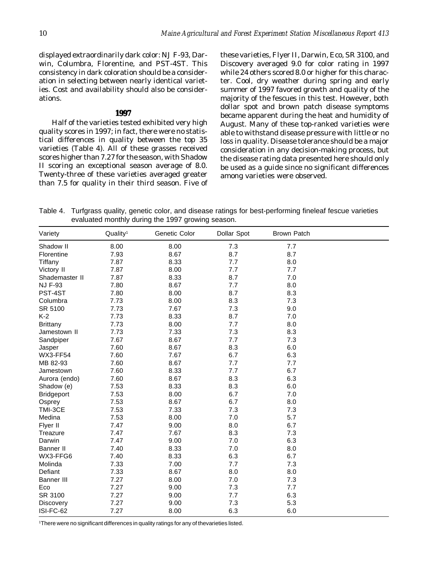displayed extraordinarily dark color: NJ F-93, Darwin, Columbra, Florentine, and PST-4ST. This consistency in dark coloration should be a consideration in selecting between nearly identical varieties. Cost and availability should also be considerations.

#### **1997**

Half of the varieties tested exhibited very high quality scores in 1997; in fact, there were no statistical differences in quality between the top 35 varieties (Table 4). All of these grasses received scores higher than 7.27 for the season, with Shadow II scoring an exceptional season average of 8.0. Twenty-three of these varieties averaged greater than 7.5 for quality in their third season. Five of these varieties, Flyer II, Darwin, Eco, SR 3100, and Discovery averaged 9.0 for color rating in 1997 while 24 others scored 8.0 or higher for this character. Cool, dry weather during spring and early summer of 1997 favored growth and quality of the majority of the fescues in this test. However, both dollar spot and brown patch disease symptoms became apparent during the heat and humidity of August. Many of these top-ranked varieties were able to withstand disease pressure with little or no loss in quality. Disease tolerance should be a major consideration in any decision-making process, but the disease rating data presented here should only be used as a guide since no significant differences among varieties were observed.

Table 4. Turfgrass quality, genetic color, and disease ratings for best-performing fineleaf fescue varieties evaluated monthly during the 1997 growing season.

| Variety           | Quality <sup>1</sup> | Genetic Color | Dollar Spot | <b>Brown Patch</b> |  |
|-------------------|----------------------|---------------|-------------|--------------------|--|
| Shadow II         | 8.00                 | 8.00          | 7.3         | 7.7                |  |
| Florentine        | 7.93                 | 8.67          | 8.7         | 8.7                |  |
| Tiffany           | 7.87                 | 8.33          | 7.7         | 8.0                |  |
| Victory II        | 7.87                 | 8.00          | 7.7         | 7.7                |  |
| Shademaster II    | 7.87                 | 8.33          | 8.7         | 7.0                |  |
| <b>NJ F-93</b>    | 7.80                 | 8.67          | 7.7         | 8.0                |  |
| PST-4ST           | 7.80                 | 8.00          | 8.7         | 8.3                |  |
| Columbra          | 7.73                 | 8.00          | 8.3         | 7.3                |  |
| SR 5100           | 7.73                 | 7.67          | 7.3         | 9.0                |  |
| $K-2$             | 7.73                 | 8.33          | 8.7         | 7.0                |  |
| <b>Brittany</b>   | 7.73                 | 8.00          | 7.7         | 8.0                |  |
| Jamestown II      | 7.73                 | 7.33          | 7.3         | 8.3                |  |
| Sandpiper         | 7.67                 | 8.67          | 7.7         | 7.3                |  |
| Jasper            | 7.60                 | 8.67          | 8.3         | 6.0                |  |
| <b>WX3-FF54</b>   | 7.60                 | 7.67          | 6.7         | 6.3                |  |
| MB 82-93          | 7.60                 | 8.67          | 7.7         | 7.7                |  |
| Jamestown         | 7.60                 | 8.33          | 7.7         | 6.7                |  |
| Aurora (endo)     | 7.60                 | 8.67          | 8.3         | 6.3                |  |
| Shadow (e)        | 7.53                 | 8.33          | 8.3         | 6.0                |  |
| <b>Bridgeport</b> | 7.53                 | 8.00          | 6.7         | 7.0                |  |
| Osprey            | 7.53                 | 8.67          | 6.7         | 8.0                |  |
| TMI-3CE           | 7.53                 | 7.33          | 7.3         | 7.3                |  |
| Medina            | 7.53                 | 8.00          | 7.0         | 5.7                |  |
| Flyer II          | 7.47                 | 9.00          | 8.0         | 6.7                |  |
| Treazure          | 7.47                 | 7.67          | 8.3         | 7.3                |  |
| Darwin            | 7.47                 | 9.00          | 7.0         | 6.3                |  |
| <b>Banner II</b>  | 7.40                 | 8.33          | 7.0         | 8.0                |  |
| WX3-FFG6          | 7.40                 | 8.33          | 6.3         | 6.7                |  |
| Molinda           | 7.33                 | 7.00          | 7.7         | 7.3                |  |
| Defiant           | 7.33                 | 8.67          | 8.0         | 8.0                |  |
| <b>Banner III</b> | 7.27                 | 8.00          | 7.0         | 7.3                |  |
| Eco               | 7.27                 | 9.00          | 7.3         | 7.7                |  |
| SR 3100           | 7.27                 | 9.00          | 7.7         | 6.3                |  |
| <b>Discovery</b>  | 7.27                 | 9.00          | 7.3         | 5.3                |  |
| ISI-FC-62         | 7.27                 | 8.00          | 6.3         | 6.0                |  |

1 There were no significant differences in quality ratings for any of thevarieties listed.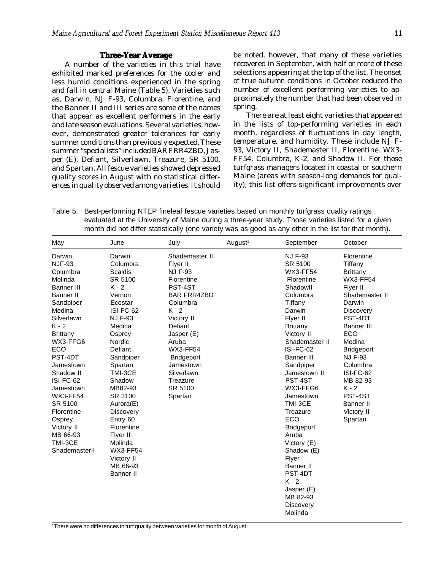### **Three-Year Average**

A number of the varieties in this trial have exhibited marked preferences for the cooler and less humid conditions experienced in the spring and fall in central Maine (Table 5). Varieties such as, Darwin, NJ F-93, Columbra, Florentine, and the Banner II and III series are some of the names that appear as excellent performers in the early and late season evaluations. Several varieties, however, demonstrated greater tolerances for early summer conditions than previously expected. These summer "specialists" included BAR FRR4ZBD, Jasper (E), Defiant, Silverlawn, Treazure, SR 5100, and Spartan. All fescue varieties showed depressed quality scores in August with no statistical differences in quality observed among varieties. It should be noted, however, that many of these varieties recovered in September, with half or more of these selections appearing at the top of the list. The onset of true autumn conditions in October reduced the number of excellent performing varieties to approximately the number that had been observed in spring.

There are at least eight varieties that appeared in the lists of top-performing varieties in each month, regardless of fluctuations in day length, temperature, and humidity. These include NJ F-93, Victory II, Shademaster II, Florentine, WX3- FF54, Columbra, K-2, and Shadow II. For those turfgrass managers located in coastal or southern Maine (areas with season-long demands for quality), this list offers significant improvements over

Table 5. Best-performing NTEP fineleaf fescue varieties based on monthly turfgrass quality ratings evaluated at the University of Maine during a three-year study. Those varieties listed for a given month did not differ statistically (one variety was as good as any other in the list for that month).

| May                                                                                                                                                                                                                                                                                                                                               | June                                                                                                                                                                                                                                                                                                                                                            | July                                                                                                                                                                                                                                                                    | August <sup>1</sup> | September                                                                                                                                                                                                                                                                                                                                                                                                                         | October                                                                                                                                                                                                                                                                                                          |
|---------------------------------------------------------------------------------------------------------------------------------------------------------------------------------------------------------------------------------------------------------------------------------------------------------------------------------------------------|-----------------------------------------------------------------------------------------------------------------------------------------------------------------------------------------------------------------------------------------------------------------------------------------------------------------------------------------------------------------|-------------------------------------------------------------------------------------------------------------------------------------------------------------------------------------------------------------------------------------------------------------------------|---------------------|-----------------------------------------------------------------------------------------------------------------------------------------------------------------------------------------------------------------------------------------------------------------------------------------------------------------------------------------------------------------------------------------------------------------------------------|------------------------------------------------------------------------------------------------------------------------------------------------------------------------------------------------------------------------------------------------------------------------------------------------------------------|
| Darwin<br><b>NJF-93</b><br>Columbra<br>Molinda<br>Banner III<br>Banner II<br>Sandpiper<br>Medina<br>Silverlawn<br>$K - 2$<br><b>Brittany</b><br>WX3-FFG6<br><b>ECO</b><br>PST-4DT<br>Jamestown<br>Shadow II<br>ISI-FC-62<br>Jamestown<br><b>WX3-FF54</b><br>SR 5100<br>Florentine<br>Osprey<br>Victory II<br>MB 66-93<br>TMI-3CE<br>ShademasterII | Darwin<br>Columbra<br>Scaldis<br>SR 5100<br>$K - 2$<br>Vernon<br>Ecostar<br>ISI-FC-62<br><b>NJ F-93</b><br>Medina<br>Osprey<br>Nordic<br>Defiant<br>Sandpiper<br>Spartan<br>TMI-3CE<br>Shadow<br>MB82-93<br>SR 3100<br>Aurora(E)<br><b>Discovery</b><br>Entry 60<br>Florentine<br>Flyer II<br>Molinda<br><b>WX3-FF54</b><br>Victory II<br>MB 66-93<br>Banner II | Shademaster II<br>Flyer II<br><b>NJ F-93</b><br>Florentine<br>PST-4ST<br><b>BAR FRR4ZBD</b><br>Columbra<br>$K - 2$<br>Victory II<br>Defiant<br>Jasper (E)<br>Aruba<br><b>WX3-FF54</b><br><b>Bridgeport</b><br>Jamestown<br>Silverlawn<br>Treazure<br>SR 5100<br>Spartan |                     | <b>NJ F-93</b><br>SR 5100<br><b>WX3-FF54</b><br>Florentine<br>Shadowll<br>Columbra<br>Tiffany<br>Darwin<br>Flyer II<br><b>Brittany</b><br>Victory II<br>Shademaster II<br>ISI-FC-62<br>Banner III<br>Sandpiper<br>Jamestown II<br>PST-4ST<br>WX3-FFG6<br>Jamestown<br>TMI-3CE<br>Treazure<br>ECO<br><b>Bridgeport</b><br>Aruba<br>Victory (E)<br>Shadow (E)<br>Flyer<br>Banner II<br>PST-4DT<br>$K - 2$<br>Jasper (E)<br>MB 82-93 | Florentine<br>Tiffany<br><b>Brittany</b><br><b>WX3-FF54</b><br>Flyer II<br>Shademaster II<br>Darwin<br><b>Discovery</b><br>PST-4DT<br>Banner III<br><b>ECO</b><br>Medina<br><b>Bridgeport</b><br><b>NJ F-93</b><br>Columbra<br>ISI-FC-62<br>MB 82-93<br>$K - 2$<br>PST-4ST<br>Banner II<br>Victory II<br>Spartan |
|                                                                                                                                                                                                                                                                                                                                                   |                                                                                                                                                                                                                                                                                                                                                                 |                                                                                                                                                                                                                                                                         |                     | Discovery<br>Molinda                                                                                                                                                                                                                                                                                                                                                                                                              |                                                                                                                                                                                                                                                                                                                  |

1 There were no differences in turf quality between varieties for month of August .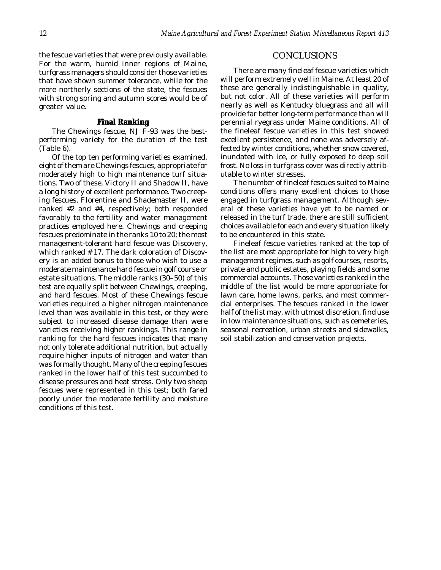the fescue varieties that were previously available. For the warm, humid inner regions of Maine, turfgrass managers should consider those varieties that have shown summer tolerance, while for the more northerly sections of the state, the fescues with strong spring and autumn scores would be of greater value.

#### **Final Ranking**

The Chewings fescue, NJ F-93 was the bestperforming variety for the duration of the test (Table 6).

Of the top ten performing varieties examined, eight of them are Chewings fescues, appropriate for moderately high to high maintenance turf situations. Two of these, Victory II and Shadow II, have a long history of excellent performance. Two creeping fescues, Florentine and Shademaster II, were ranked #2 and #4, respectively; both responded favorably to the fertility and water management practices employed here. Chewings and creeping fescues predominate in the ranks 10 to 20; the most management-tolerant hard fescue was Discovery, which ranked # 17. The dark coloration of Discovery is an added bonus to those who wish to use a moderate maintenance hard fescue in golf course or estate situations. The middle ranks (30–50) of this test are equally split between Chewings, creeping, and hard fescues. Most of these Chewings fescue varieties required a higher nitrogen maintenance level than was available in this test, or they were subject to increased disease damage than were varieties receiving higher rankings. This range in ranking for the hard fescues indicates that many not only tolerate additional nutrition, but actually require higher inputs of nitrogen and water than was formally thought. Many of the creeping fescues ranked in the lower half of this test succumbed to disease pressures and heat stress. Only two sheep fescues were represented in this test; both fared poorly under the moderate fertility and moisture conditions of this test.

#### **CONCLUSIONS**

There are many fineleaf fescue varieties which will perform extremely well in Maine. At least 20 of these are generally indistinguishable in quality, but not color. All of these varieties will perform nearly as well as Kentucky bluegrass and all will provide far better long-term performance than will perennial ryegrass under Maine conditions. All of the fineleaf fescue varieties in this test showed excellent persistence, and none was adversely affected by winter conditions, whether snow covered, inundated with ice, or fully exposed to deep soil frost. No loss in turfgrass cover was directly attributable to winter stresses.

The number of fineleaf fescues suited to Maine conditions offers many excellent choices to those engaged in turfgrass management. Although several of these varieties have yet to be named or released in the turf trade, there are still sufficient choices available for each and every situation likely to be encountered in this state.

Fineleaf fescue varieties ranked at the top of the list are most appropriate for high to very high management regimes, such as golf courses, resorts, private and public estates, playing fields and some commercial accounts. Those varieties ranked in the middle of the list would be more appropriate for lawn care, home lawns, parks, and most commercial enterprises. The fescues ranked in the lower half of the list may, with utmost discretion, find use in low maintenance situations, such as cemeteries, seasonal recreation, urban streets and sidewalks, soil stabilization and conservation projects.